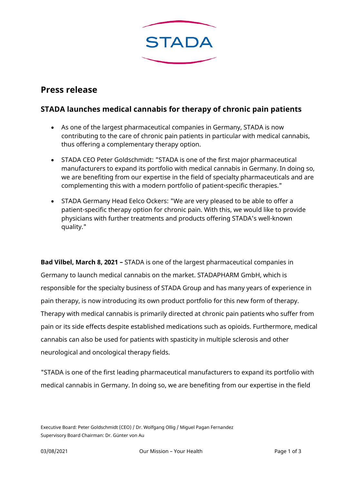

# **Press release**

## **STADA launches medical cannabis for therapy of chronic pain patients**

- As one of the largest pharmaceutical companies in Germany, STADA is now contributing to the care of chronic pain patients in particular with medical cannabis, thus offering a complementary therapy option.
- STADA CEO Peter Goldschmidt: "STADA is one of the first major pharmaceutical manufacturers to expand its portfolio with medical cannabis in Germany. In doing so, we are benefiting from our expertise in the field of specialty pharmaceuticals and are complementing this with a modern portfolio of patient-specific therapies."
- STADA Germany Head Eelco Ockers: "We are very pleased to be able to offer a patient-specific therapy option for chronic pain. With this, we would like to provide physicians with further treatments and products offering STADA's well-known quality."

**Bad Vilbel, March 8, 2021 –** STADA is one of the largest pharmaceutical companies in Germany to launch medical cannabis on the market. STADAPHARM GmbH, which is responsible for the specialty business of STADA Group and has many years of experience in pain therapy, is now introducing its own product portfolio for this new form of therapy. Therapy with medical cannabis is primarily directed at chronic pain patients who suffer from pain or its side effects despite established medications such as opioids. Furthermore, medical cannabis can also be used for patients with spasticity in multiple sclerosis and other neurological and oncological therapy fields.

"STADA is one of the first leading pharmaceutical manufacturers to expand its portfolio with medical cannabis in Germany. In doing so, we are benefiting from our expertise in the field

Executive Board: Peter Goldschmidt (CEO) / Dr. Wolfgang Ollig / Miguel Pagan Fernandez Supervisory Board Chairman: Dr. Günter von Au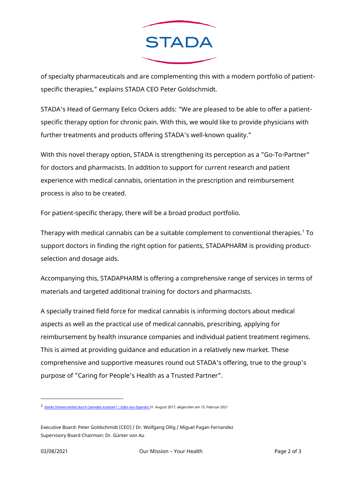

of specialty pharmaceuticals and are complementing this with a modern portfolio of patientspecific therapies," explains STADA CEO Peter Goldschmidt.

STADA's Head of Germany Eelco Ockers adds: "We are pleased to be able to offer a patientspecific therapy option for chronic pain. With this, we would like to provide physicians with further treatments and products offering STADA's well-known quality."

With this novel therapy option, STADA is strengthening its perception as a "Go-To-Partner" for doctors and pharmacists. In addition to support for current research and patient experience with medical cannabis, orientation in the prescription and reimbursement process is also to be created.

For patient-specific therapy, there will be a broad product portfolio.

Therapy with medical cannabis can be a suitable complement to conventional therapies.<sup>[1](#page-1-0)</sup> To support doctors in finding the right option for patients, STADAPHARM is providing productselection and dosage aids.

Accompanying this, STADAPHARM is offering a comprehensive range of services in terms of materials and targeted additional training for doctors and pharmacists.

A specially trained field force for medical cannabis is informing doctors about medical aspects as well as the practical use of medical cannabis, prescribing, applying for reimbursement by health insurance companies and individual patient treatment regimens. This is aimed at providing guidance and education in a relatively new market. These comprehensive and supportive measures round out STADA's offering, true to the group's purpose of "Caring for People's Health as a Trusted Partner".

<span id="page-1-0"></span><sup>1</sup> *[Starke Schmerzmittel durch Cannabis ersetzen? | Infos von Experten.](https://www.leafly.de/medizinisches-cannabis-oder-opioide/)*31. August 2017, abgerufen am 15. Februar <sup>2021</sup>

Executive Board: Peter Goldschmidt (CEO) / Dr. Wolfgang Ollig / Miguel Pagan Fernandez Supervisory Board Chairman: Dr. Günter von Au